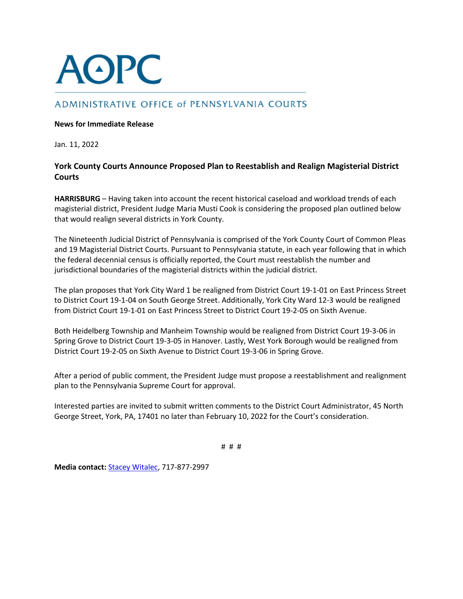

# ADMINISTRATIVE OFFICE of PENNSYLVANIA COURTS

# **News for Immediate Release**

Jan. 11, 2022

# **York County Courts Announce Proposed Plan to Reestablish and Realign Magisterial District Courts**

**HARRISBURG** – Having taken into account the recent historical caseload and workload trends of each magisterial district, President Judge Maria Musti Cook is considering the proposed plan outlined below that would realign several districts in York County.

The Nineteenth Judicial District of Pennsylvania is comprised of the York County Court of Common Pleas and 19 Magisterial District Courts. Pursuant to Pennsylvania statute, in each year following that in which the federal decennial census is officially reported, the Court must reestablish the number and jurisdictional boundaries of the magisterial districts within the judicial district.

The plan proposes that York City Ward 1 be realigned from District Court 19-1-01 on East Princess Street to District Court 19-1-04 on South George Street. Additionally, York City Ward 12-3 would be realigned from District Court 19-1-01 on East Princess Street to District Court 19-2-05 on Sixth Avenue.

Both Heidelberg Township and Manheim Township would be realigned from District Court 19-3-06 in Spring Grove to District Court 19-3-05 in Hanover. Lastly, West York Borough would be realigned from District Court 19-2-05 on Sixth Avenue to District Court 19-3-06 in Spring Grove.

After a period of public comment, the President Judge must propose a reestablishment and realignment plan to the Pennsylvania Supreme Court for approval.

Interested parties are invited to submit written comments to the District Court Administrator, 45 North George Street, York, PA, 17401 no later than February 10, 2022 for the Court's consideration.

# # #

**Media contact:** [Stacey Witalec,](mailto:stacey.witalec@pacourts.us) 717-877-2997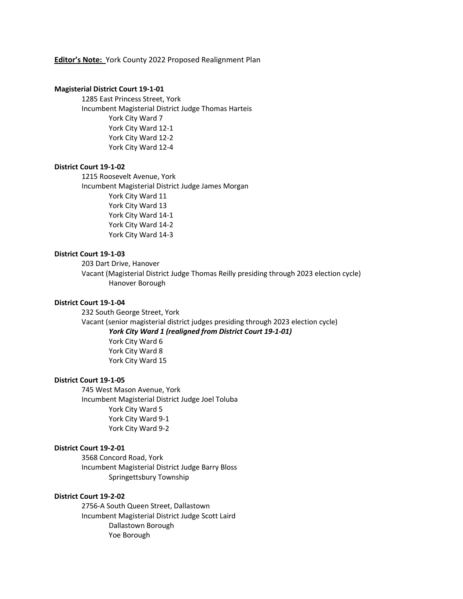#### **Editor's Note:** York County 2022 Proposed Realignment Plan

#### **Magisterial District Court 19-1-01**

1285 East Princess Street, York Incumbent Magisterial District Judge Thomas Harteis York City Ward 7 York City Ward 12-1 York City Ward 12-2 York City Ward 12-4

# **District Court 19-1-02**

1215 Roosevelt Avenue, York Incumbent Magisterial District Judge James Morgan York City Ward 11 York City Ward 13 York City Ward 14-1 York City Ward 14-2 York City Ward 14-3

# **District Court 19-1-03**

203 Dart Drive, Hanover Vacant (Magisterial District Judge Thomas Reilly presiding through 2023 election cycle) Hanover Borough

#### **District Court 19-1-04**

232 South George Street, York Vacant (senior magisterial district judges presiding through 2023 election cycle) *York City Ward 1 (realigned from District Court 19-1-01)* York City Ward 6 York City Ward 8 York City Ward 15

#### **District Court 19-1-05**

745 West Mason Avenue, York Incumbent Magisterial District Judge Joel Toluba York City Ward 5 York City Ward 9-1 York City Ward 9-2

#### **District Court 19-2-01**

3568 Concord Road, York Incumbent Magisterial District Judge Barry Bloss Springettsbury Township

# **District Court 19-2-02**

2756-A South Queen Street, Dallastown Incumbent Magisterial District Judge Scott Laird Dallastown Borough Yoe Borough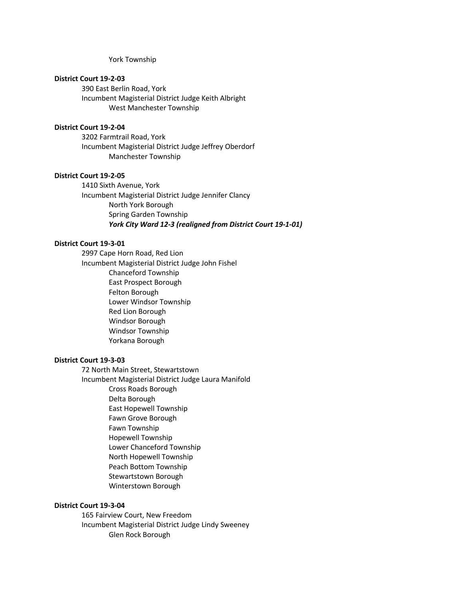York Township

## **District Court 19-2-03**

390 East Berlin Road, York Incumbent Magisterial District Judge Keith Albright West Manchester Township

#### **District Court 19-2-04**

3202 Farmtrail Road, York Incumbent Magisterial District Judge Jeffrey Oberdorf Manchester Township

#### **District Court 19-2-05**

1410 Sixth Avenue, York Incumbent Magisterial District Judge Jennifer Clancy North York Borough Spring Garden Township *York City Ward 12-3 (realigned from District Court 19-1-01)*

### **District Court 19-3-01**

2997 Cape Horn Road, Red Lion Incumbent Magisterial District Judge John Fishel Chanceford Township East Prospect Borough Felton Borough Lower Windsor Township Red Lion Borough Windsor Borough Windsor Township Yorkana Borough

### **District Court 19-3-03**

72 North Main Street, Stewartstown Incumbent Magisterial District Judge Laura Manifold Cross Roads Borough Delta Borough East Hopewell Township Fawn Grove Borough Fawn Township Hopewell Township Lower Chanceford Township North Hopewell Township Peach Bottom Township Stewartstown Borough Winterstown Borough

#### **District Court 19-3-04**

165 Fairview Court, New Freedom Incumbent Magisterial District Judge Lindy Sweeney Glen Rock Borough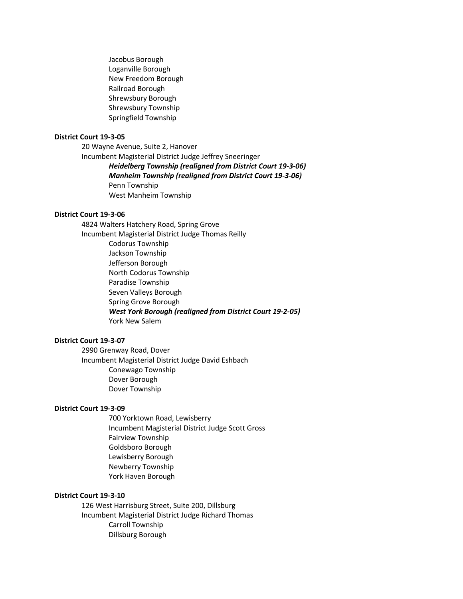Jacobus Borough Loganville Borough New Freedom Borough Railroad Borough Shrewsbury Borough Shrewsbury Township Springfield Township

# **District Court 19-3-05**

20 Wayne Avenue, Suite 2, Hanover Incumbent Magisterial District Judge Jeffrey Sneeringer *Heidelberg Township (realigned from District Court 19-3-06) Manheim Township (realigned from District Court 19-3-06)* Penn Township West Manheim Township

### **District Court 19-3-06**

4824 Walters Hatchery Road, Spring Grove Incumbent Magisterial District Judge Thomas Reilly Codorus Township Jackson Township Jefferson Borough North Codorus Township Paradise Township Seven Valleys Borough Spring Grove Borough *West York Borough (realigned from District Court 19-2-05)* York New Salem

### **District Court 19-3-07**

2990 Grenway Road, Dover Incumbent Magisterial District Judge David Eshbach Conewago Township Dover Borough Dover Township

### **District Court 19-3-09**

700 Yorktown Road, Lewisberry Incumbent Magisterial District Judge Scott Gross Fairview Township Goldsboro Borough Lewisberry Borough Newberry Township York Haven Borough

#### **District Court 19-3-10**

126 West Harrisburg Street, Suite 200, Dillsburg Incumbent Magisterial District Judge Richard Thomas Carroll Township Dillsburg Borough